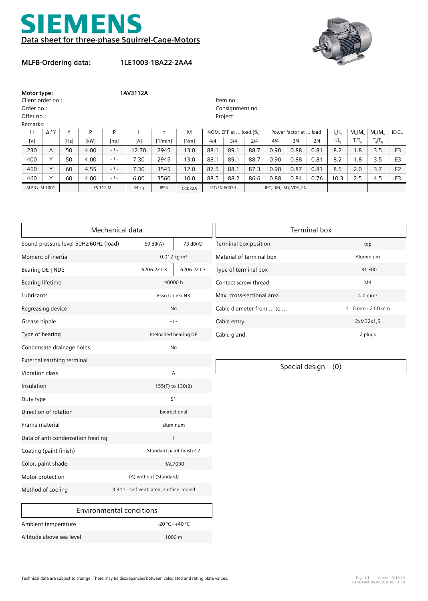



## **MLFB-Ordering data:**

**1LE1003-1BA22-2AA4**

| Motor type:<br>Client order no.:<br>Order no.: |                |      | 1AV3112A |                    |          |              |               | Item no.:<br>Consignment no.: |      |                        |                       |      |      |               |                              |                   |                 |
|------------------------------------------------|----------------|------|----------|--------------------|----------|--------------|---------------|-------------------------------|------|------------------------|-----------------------|------|------|---------------|------------------------------|-------------------|-----------------|
| Offer no.:                                     |                |      |          |                    | Project: |              |               |                               |      |                        |                       |      |      |               |                              |                   |                 |
| Remarks:                                       |                |      |          |                    |          |              |               |                               |      |                        |                       |      |      |               |                              |                   |                 |
| U                                              | $\Delta$ / $Y$ |      | P        | P                  |          | $\mathsf{n}$ | M             | NOM. EFF at  load [%]         |      |                        | Power factor at  load |      |      | $I_{A}/I_{N}$ | $M/M_{\odot}$                | $M_{\nu}/M_{\nu}$ | IE-CL           |
| [V]                                            |                | [Hz] | [kW]     | [hp]               | [A]      | [1/min]      | [Nm]          | 4/4                           | 3/4  | 214                    | 4/4                   | 3/4  | 2/4  | $I/I_{N}$     | $T/T_{\scriptscriptstyle N}$ | $T_R/T_N$         |                 |
| 230                                            | Δ              | 50   | 4.00     | $ \frac{1}{2}$ $-$ | 12.70    | 2945         | 13.0          | 88.1                          | 89.1 | 88.7                   | 0.90                  | 0.88 | 0.81 | 8.2           | 1.8                          | 3.5               | IE <sub>3</sub> |
| 400                                            | v              | 50   | 4.00     | $-1$ -             | 7.30     | 2945         | 13.0          | 88.1                          | 89.1 | 88.7                   | 0.90                  | 0.88 | 0.81 | 8.2           | 1.8                          | 3.5               | IE <sub>3</sub> |
| 460                                            | $\checkmark$   | 60   | 4.55     | $-1-$              | 7.30     | 3545         | 12.0          | 87.5                          | 88.1 | 87.3                   | 0.90                  | 0.87 | 0.81 | 8.5           | 2.0                          | 3.7               | IE <sub>2</sub> |
| 460                                            |                | 60   | 4.00     | $-1-$              | 6.00     | 3560         | 10.0          | 88.5                          | 88.2 | 86.6                   | 0.88                  | 0.84 | 0.76 | 10.3          | 2.5                          | 4.5               | IE <sub>3</sub> |
| IM B3 / IM 1001                                |                |      | FS 112 M |                    | 34 kg    | <b>IP55</b>  | <b>CC032A</b> | <b>IEC/EN 60034</b>           |      | IEC, DIN, ISO, VDE, EN |                       |      |      |               |                              |                   |                 |

|                                       | Mechanical data                         | <b>Terminal box</b> |                           |                       |  |  |  |
|---------------------------------------|-----------------------------------------|---------------------|---------------------------|-----------------------|--|--|--|
| Sound pressure level 50Hz/60Hz (load) | 69dB(A)                                 | 73 dB(A)            | Terminal box position     | top                   |  |  |  |
| Moment of inertia                     | $0.012$ kg m <sup>2</sup>               |                     | Material of terminal box  | Aluminium             |  |  |  |
| Bearing DE   NDE                      | 6206 2Z C3                              | 6206 2Z C3          | Type of terminal box      | <b>TB1 F00</b>        |  |  |  |
| <b>Bearing lifetime</b>               | 40000h                                  |                     | Contact screw thread      | M <sub>4</sub>        |  |  |  |
| Lubricants                            | Esso Unirex N3                          |                     | Max. cross-sectional area | $4.0$ mm <sup>2</sup> |  |  |  |
| Regreasing device                     |                                         | <b>No</b>           | Cable diameter from  to   | 11.0 mm - 21.0 mm     |  |  |  |
| Grease nipple                         | $-1-$                                   |                     | Cable entry               | 2xM32x1,5             |  |  |  |
| Type of bearing                       | Preloaded bearing DE                    |                     | Cable gland               | 2 plugs               |  |  |  |
| Condensate drainage holes             | No                                      |                     |                           |                       |  |  |  |
| External earthing terminal            |                                         |                     | Special design<br>(0)     |                       |  |  |  |
| <b>Vibration class</b>                |                                         | A                   |                           |                       |  |  |  |
| Insulation                            | 155(F) to 130(B)                        |                     |                           |                       |  |  |  |
| Duty type                             | S <sub>1</sub>                          |                     |                           |                       |  |  |  |
| Direction of rotation                 | bidirectional                           |                     |                           |                       |  |  |  |
| Frame material                        | aluminum                                |                     |                           |                       |  |  |  |
| Data of anti condensation heating     | $-I-$                                   |                     |                           |                       |  |  |  |
| Coating (paint finish)                | Standard paint finish C2                |                     |                           |                       |  |  |  |
| Color, paint shade                    |                                         | RAL7030             |                           |                       |  |  |  |
| Motor protection                      | (A) without (Standard)                  |                     |                           |                       |  |  |  |
| Method of cooling                     | IC411 - self ventilated, surface cooled |                     |                           |                       |  |  |  |
|                                       | <b>Environmental conditions</b>         |                     |                           |                       |  |  |  |
| Ambient temperature                   | $-20 °C - +40 °C$                       |                     |                           |                       |  |  |  |

Altitude above sea level 1000 m